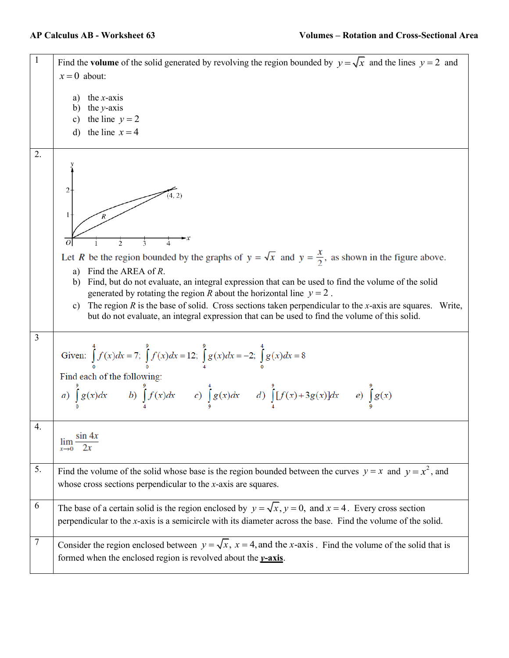| 1  | Find the volume of the solid generated by revolving the region bounded by $y = \sqrt{x}$ and the lines $y = 2$ and<br>$x=0$ about:                                                                                                                                                                                                                                                                                                                                                                                                                     |
|----|--------------------------------------------------------------------------------------------------------------------------------------------------------------------------------------------------------------------------------------------------------------------------------------------------------------------------------------------------------------------------------------------------------------------------------------------------------------------------------------------------------------------------------------------------------|
|    | the $x$ -axis<br>the $y$ -axis<br>b)<br>the line $y = 2$<br>c)<br>the line $x = 4$<br>$\rm d$                                                                                                                                                                                                                                                                                                                                                                                                                                                          |
| 2. | $\overline{c}$<br>(4, 2)<br>1<br>3<br>4                                                                                                                                                                                                                                                                                                                                                                                                                                                                                                                |
|    | Let R be the region bounded by the graphs of $y = \sqrt{x}$ and $y = \frac{x}{2}$ , as shown in the figure above.<br>Find the AREA of R.<br>a)<br>b) Find, but do not evaluate, an integral expression that can be used to find the volume of the solid<br>generated by rotating the region R about the horizontal line $y = 2$ .<br>The region $R$ is the base of solid. Cross sections taken perpendicular to the x-axis are squares. Write,<br>c)<br>but do not evaluate, an integral expression that can be used to find the volume of this solid. |
| 3  | Given: $\int_{0}^{4} f(x)dx = 7$ ; $\int_{0}^{9} f(x)dx = 12$ ; $\int_{4}^{9} g(x)dx = -2$ ; $\int_{0}^{4} g(x)dx = 8$<br>Find each of the following:<br>a) $\int_{a}^{9} g(x) dx$ b) $\int_{a}^{9} f(x) dx$ c) $\int_{a}^{4} g(x) dx$ d) $\int_{a}^{9} [f(x) + 3g(x)] dx$ e) $\int_{0}^{9} g(x) dx$                                                                                                                                                                                                                                                   |
| 4. | $\sin 4x$<br>lim                                                                                                                                                                                                                                                                                                                                                                                                                                                                                                                                       |
| 5. | Find the volume of the solid whose base is the region bounded between the curves $y = x$ and $y = x^2$ , and<br>whose cross sections perpendicular to the $x$ -axis are squares.                                                                                                                                                                                                                                                                                                                                                                       |
| 6  | The base of a certain solid is the region enclosed by $y = \sqrt{x}$ , $y = 0$ , and $x = 4$ . Every cross section<br>perpendicular to the $x$ -axis is a semicircle with its diameter across the base. Find the volume of the solid.                                                                                                                                                                                                                                                                                                                  |
| 7  | Consider the region enclosed between $y = \sqrt{x}$ , $x = 4$ , and the x-axis. Find the volume of the solid that is<br>formed when the enclosed region is revolved about the $y$ -axis.                                                                                                                                                                                                                                                                                                                                                               |